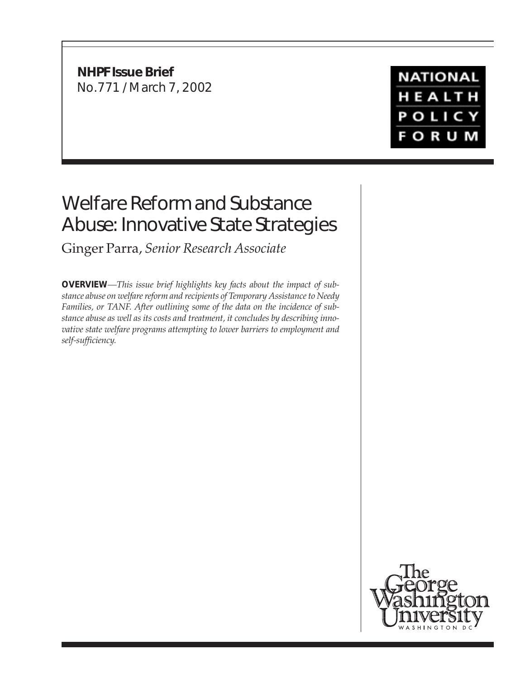**NHPF Issue Brief** No.771 / March 7, 2002

**NATIONAL** HEALTH POLICY **FORUM** 

# Welfare Reform and Substance Abuse: Innovative State Strategies

Ginger Parra, *Senior Research Associate*

**OVERVIEW***—This issue brief highlights key facts about the impact of substance abuse on welfare reform and recipients of Temporary Assistance to Needy Families, or TANF. After outlining some of the data on the incidence of substance abuse as well as its costs and treatment, it concludes by describing innovative state welfare programs attempting to lower barriers to employment and self-sufficiency.*

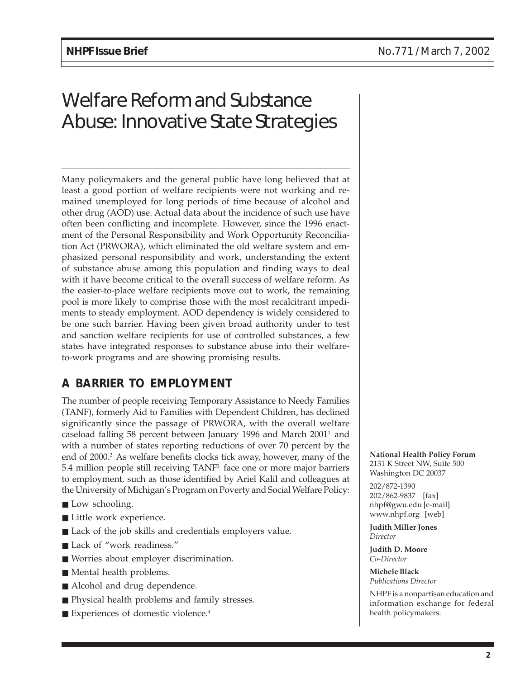# Welfare Reform and Substance Abuse: Innovative State Strategies

Many policymakers and the general public have long believed that at least a good portion of welfare recipients were not working and remained unemployed for long periods of time because of alcohol and other drug (AOD) use. Actual data about the incidence of such use have often been conflicting and incomplete. However, since the 1996 enactment of the Personal Responsibility and Work Opportunity Reconciliation Act (PRWORA), which eliminated the old welfare system and emphasized personal responsibility and work, understanding the extent of substance abuse among this population and finding ways to deal with it have become critical to the overall success of welfare reform. As the easier-to-place welfare recipients move out to work, the remaining pool is more likely to comprise those with the most recalcitrant impediments to steady employment. AOD dependency is widely considered to be one such barrier. Having been given broad authority under to test and sanction welfare recipients for use of controlled substances, a few states have integrated responses to substance abuse into their welfareto-work programs and are showing promising results.

## **A BARRIER TO EMPLOYMENT**

The number of people receiving Temporary Assistance to Needy Families (TANF), formerly Aid to Families with Dependent Children, has declined significantly since the passage of PRWORA, with the overall welfare caseload falling 58 percent between January 1996 and March  $2001<sup>1</sup>$  and with a number of states reporting reductions of over 70 percent by the end of 2000.<sup>2</sup> As welfare benefits clocks tick away, however, many of the 5.4 million people still receiving TANF3 face one or more major barriers to employment, such as those identified by Ariel Kalil and colleagues at the University of Michigan's Program on Poverty and Social Welfare Policy:

- Low schooling.
- Little work experience.
- Lack of the job skills and credentials employers value.
- Lack of "work readiness."
- Worries about employer discrimination.
- Mental health problems.
- Alcohol and drug dependence.
- Physical health problems and family stresses.
- Experiences of domestic violence.<sup>4</sup>

**National Health Policy Forum** 2131 K Street NW, Suite 500 Washington DC 20037

202/872-1390 202/862-9837 [fax] nhpf@gwu.edu [e-mail] www.nhpf.org [web]

**Judith Miller Jones** *Director*

**Judith D. Moore** *Co-Director*

#### **Michele Black** *Publications Director*

NHPF is a nonpartisan education and information exchange for federal health policymakers.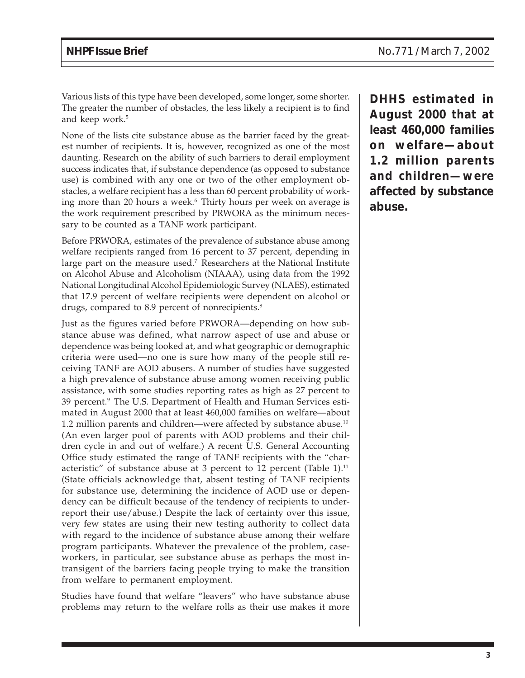Various lists of this type have been developed, some longer, some shorter. The greater the number of obstacles, the less likely a recipient is to find and keep work.<sup>5</sup>

None of the lists cite substance abuse as the barrier faced by the greatest number of recipients. It is, however, recognized as one of the most daunting. Research on the ability of such barriers to derail employment success indicates that, if substance dependence (as opposed to substance use) is combined with any one or two of the other employment obstacles, a welfare recipient has a less than 60 percent probability of working more than 20 hours a week.<sup>6</sup> Thirty hours per week on average is the work requirement prescribed by PRWORA as the minimum necessary to be counted as a TANF work participant.

Before PRWORA, estimates of the prevalence of substance abuse among welfare recipients ranged from 16 percent to 37 percent, depending in large part on the measure used.<sup>7</sup> Researchers at the National Institute on Alcohol Abuse and Alcoholism (NIAAA), using data from the 1992 National Longitudinal Alcohol Epidemiologic Survey (NLAES), estimated that 17.9 percent of welfare recipients were dependent on alcohol or drugs, compared to 8.9 percent of nonrecipients.<sup>8</sup>

Just as the figures varied before PRWORA—depending on how substance abuse was defined, what narrow aspect of use and abuse or dependence was being looked at, and what geographic or demographic criteria were used—no one is sure how many of the people still receiving TANF are AOD abusers. A number of studies have suggested a high prevalence of substance abuse among women receiving public assistance, with some studies reporting rates as high as 27 percent to 39 percent.<sup>9</sup> The U.S. Department of Health and Human Services estimated in August 2000 that at least 460,000 families on welfare—about 1.2 million parents and children—were affected by substance abuse.<sup>10</sup> (An even larger pool of parents with AOD problems and their children cycle in and out of welfare.) A recent U.S. General Accounting Office study estimated the range of TANF recipients with the "characteristic" of substance abuse at 3 percent to 12 percent (Table 1).<sup>11</sup> (State officials acknowledge that, absent testing of TANF recipients for substance use, determining the incidence of AOD use or dependency can be difficult because of the tendency of recipients to underreport their use/abuse.) Despite the lack of certainty over this issue, very few states are using their new testing authority to collect data with regard to the incidence of substance abuse among their welfare program participants. Whatever the prevalence of the problem, caseworkers, in particular, see substance abuse as perhaps the most intransigent of the barriers facing people trying to make the transition from welfare to permanent employment.

Studies have found that welfare "leavers" who have substance abuse problems may return to the welfare rolls as their use makes it more

**DHHS estimated in August 2000 that at least 460,000 families on welfare—about 1.2 million parents and children—were affected by substance abuse.**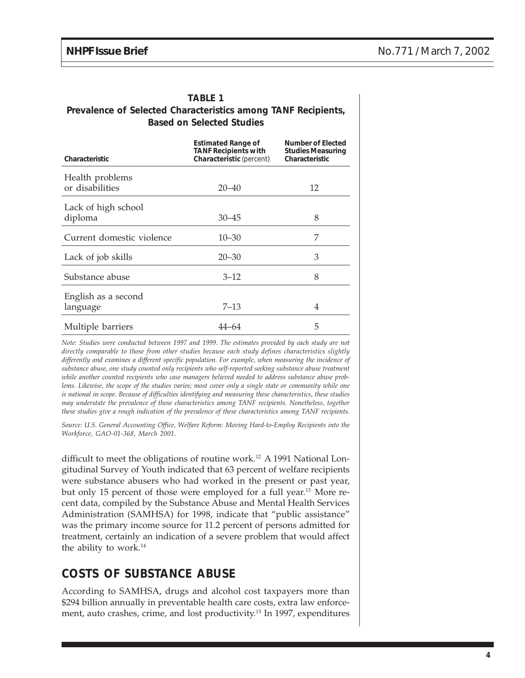| <b>TABLE 1</b>                                                |  |  |
|---------------------------------------------------------------|--|--|
| Prevalence of Selected Characteristics among TANF Recipients, |  |  |
| <b>Based on Selected Studies</b>                              |  |  |

| Characteristic                     | <b>Estimated Range of</b><br><b>TANF Recipients with</b><br>Characteristic (percent) | Number of Elected<br><b>Studies Measuring</b><br>Characteristic |
|------------------------------------|--------------------------------------------------------------------------------------|-----------------------------------------------------------------|
| Health problems<br>or disabilities | $20 - 40$                                                                            | 12                                                              |
| Lack of high school<br>diploma     | $30 - 45$                                                                            | 8                                                               |
| Current domestic violence          | $10 - 30$                                                                            | 7                                                               |
| Lack of job skills                 | $20 - 30$                                                                            | 3                                                               |
| Substance abuse                    | $3 - 12$                                                                             | 8                                                               |
| English as a second<br>language    | $7 - 13$                                                                             | 4                                                               |
| Multiple barriers                  | 44–64                                                                                | 5                                                               |

*Note: Studies were conducted between 1997 and 1999. The estimates provided by each study are not directly comparable to those from other studies because each study defines characteristics slightly differently and examines a different specific population. For example, when measuring the incidence of substance abuse, one study counted only recipients who self-reported seeking substance abuse treatment while another counted recipients who case managers believed needed to address substance abuse problems. Likewise, the scope of the studies varies; most cover only a single state or community while one is national in scope. Because of difficulties identifying and measuring these characteristics, these studies may understate the prevalence of these characteristics among TANF recipients. Nonetheless, together these studies give a rough indication of the prevalence of these characteristics among TANF recipients.*

*Source: U.S. General Accounting Office, Welfare Reform: Moving Hard-to-Employ Recipients into the Workforce, GAO-01-368, March 2001.*

difficult to meet the obligations of routine work.<sup>12</sup> A 1991 National Longitudinal Survey of Youth indicated that 63 percent of welfare recipients were substance abusers who had worked in the present or past year, but only 15 percent of those were employed for a full year.<sup>13</sup> More recent data, compiled by the Substance Abuse and Mental Health Services Administration (SAMHSA) for 1998, indicate that "public assistance" was the primary income source for 11.2 percent of persons admitted for treatment, certainly an indication of a severe problem that would affect the ability to work.<sup>14</sup>

### **COSTS OF SUBSTANCE ABUSE**

According to SAMHSA, drugs and alcohol cost taxpayers more than \$294 billion annually in preventable health care costs, extra law enforcement, auto crashes, crime, and lost productivity.15 In 1997, expenditures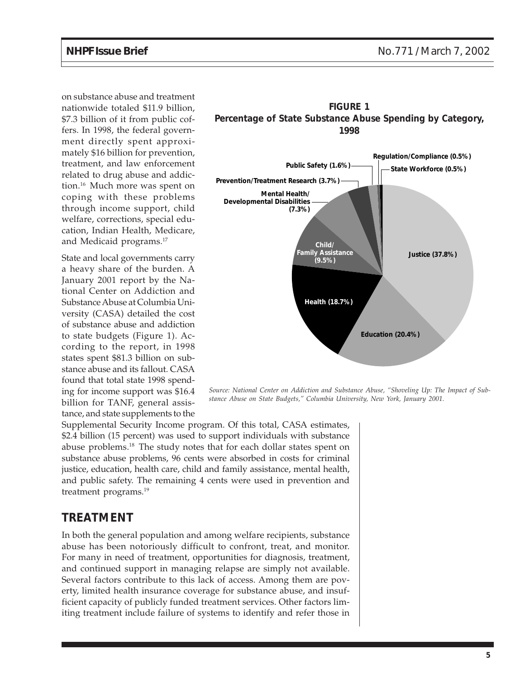on substance abuse and treatment nationwide totaled \$11.9 billion, \$7.3 billion of it from public coffers. In 1998, the federal government directly spent approximately \$16 billion for prevention, treatment, and law enforcement related to drug abuse and addiction.16 Much more was spent on coping with these problems through income support, child welfare, corrections, special education, Indian Health, Medicare, and Medicaid programs.17

State and local governments carry a heavy share of the burden. A January 2001 report by the National Center on Addiction and Substance Abuse at Columbia University (CASA) detailed the cost of substance abuse and addiction to state budgets (Figure 1). According to the report, in 1998 states spent \$81.3 billion on substance abuse and its fallout. CASA found that total state 1998 spending for income support was \$16.4 billion for TANF, general assistance, and state supplements to the



**FIGURE 1**

*Source: National Center on Addiction and Substance Abuse, "Shoveling Up: The Impact of Substance Abuse on State Budgets," Columbia University, New York, January 2001.*

Supplemental Security Income program. Of this total, CASA estimates, \$2.4 billion (15 percent) was used to support individuals with substance abuse problems.18 The study notes that for each dollar states spent on substance abuse problems, 96 cents were absorbed in costs for criminal justice, education, health care, child and family assistance, mental health, and public safety. The remaining 4 cents were used in prevention and treatment programs.<sup>19</sup>

#### **TREATMENT**

In both the general population and among welfare recipients, substance abuse has been notoriously difficult to confront, treat, and monitor. For many in need of treatment, opportunities for diagnosis, treatment, and continued support in managing relapse are simply not available. Several factors contribute to this lack of access. Among them are poverty, limited health insurance coverage for substance abuse, and insufficient capacity of publicly funded treatment services. Other factors limiting treatment include failure of systems to identify and refer those in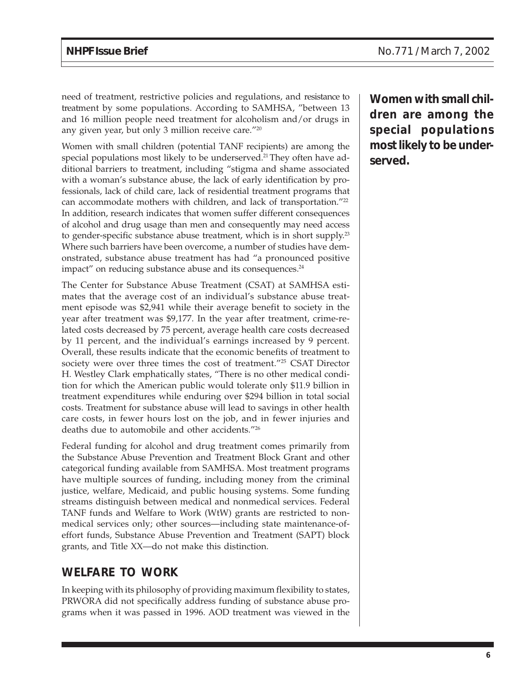need of treatment, restrictive policies and regulations, and resistance to treatment by some populations. According to SAMHSA, "between 13 and 16 million people need treatment for alcoholism and/or drugs in any given year, but only 3 million receive care."20

Women with small children (potential TANF recipients) are among the special populations most likely to be underserved.<sup>21</sup> They often have additional barriers to treatment, including "stigma and shame associated with a woman's substance abuse, the lack of early identification by professionals, lack of child care, lack of residential treatment programs that can accommodate mothers with children, and lack of transportation."<sup>22</sup> In addition, research indicates that women suffer different consequences of alcohol and drug usage than men and consequently may need access to gender-specific substance abuse treatment, which is in short supply.<sup>23</sup> Where such barriers have been overcome, a number of studies have demonstrated, substance abuse treatment has had "a pronounced positive impact" on reducing substance abuse and its consequences.<sup>24</sup>

The Center for Substance Abuse Treatment (CSAT) at SAMHSA estimates that the average cost of an individual's substance abuse treatment episode was \$2,941 while their average benefit to society in the year after treatment was \$9,177. In the year after treatment, crime-related costs decreased by 75 percent, average health care costs decreased by 11 percent, and the individual's earnings increased by 9 percent. Overall, these results indicate that the economic benefits of treatment to society were over three times the cost of treatment."<sup>25</sup> CSAT Director H. Westley Clark emphatically states, "There is no other medical condition for which the American public would tolerate only \$11.9 billion in treatment expenditures while enduring over \$294 billion in total social costs. Treatment for substance abuse will lead to savings in other health care costs, in fewer hours lost on the job, and in fewer injuries and deaths due to automobile and other accidents."26

Federal funding for alcohol and drug treatment comes primarily from the Substance Abuse Prevention and Treatment Block Grant and other categorical funding available from SAMHSA. Most treatment programs have multiple sources of funding, including money from the criminal justice, welfare, Medicaid, and public housing systems. Some funding streams distinguish between medical and nonmedical services. Federal TANF funds and Welfare to Work (WtW) grants are restricted to nonmedical services only; other sources—including state maintenance-ofeffort funds, Substance Abuse Prevention and Treatment (SAPT) block grants, and Title XX—do not make this distinction.

#### **WELFARE TO WORK**

In keeping with its philosophy of providing maximum flexibility to states, PRWORA did not specifically address funding of substance abuse programs when it was passed in 1996. AOD treatment was viewed in the **Women with small children are among the special populations most likely to be underserved.**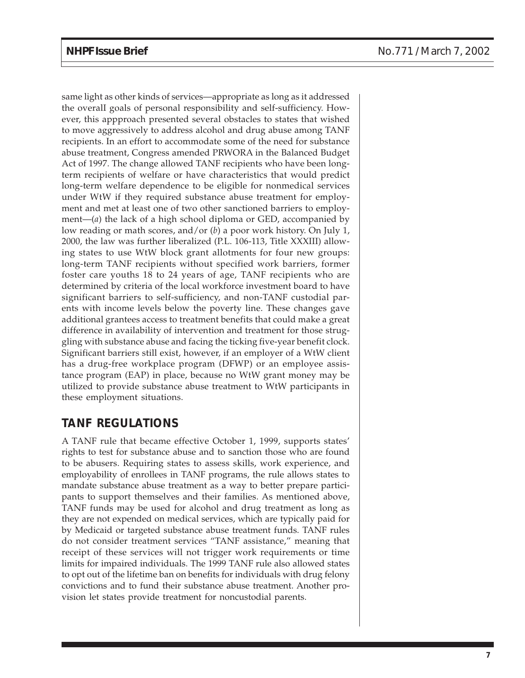same light as other kinds of services—appropriate as long as it addressed the overalI goals of personal responsibility and self-sufficiency. However, this appproach presented several obstacles to states that wished to move aggressively to address alcohol and drug abuse among TANF recipients. In an effort to accommodate some of the need for substance abuse treatment, Congress amended PRWORA in the Balanced Budget Act of 1997. The change allowed TANF recipients who have been longterm recipients of welfare or have characteristics that would predict long-term welfare dependence to be eligible for nonmedical services under WtW if they required substance abuse treatment for employment and met at least one of two other sanctioned barriers to employment—(*a*) the lack of a high school diploma or GED, accompanied by low reading or math scores, and/or (*b*) a poor work history. On July 1, 2000, the law was further liberalized (P.L. 106-113, Title XXXIII) allowing states to use WtW block grant allotments for four new groups: long-term TANF recipients without specified work barriers, former foster care youths 18 to 24 years of age, TANF recipients who are determined by criteria of the local workforce investment board to have significant barriers to self-sufficiency, and non-TANF custodial parents with income levels below the poverty line. These changes gave additional grantees access to treatment benefits that could make a great difference in availability of intervention and treatment for those struggling with substance abuse and facing the ticking five-year benefit clock. Significant barriers still exist, however, if an employer of a WtW client has a drug-free workplace program (DFWP) or an employee assistance program (EAP) in place, because no WtW grant money may be utilized to provide substance abuse treatment to WtW participants in these employment situations.

### **TANF REGULATIONS**

A TANF rule that became effective October 1, 1999, supports states' rights to test for substance abuse and to sanction those who are found to be abusers. Requiring states to assess skills, work experience, and employability of enrollees in TANF programs, the rule allows states to mandate substance abuse treatment as a way to better prepare participants to support themselves and their families. As mentioned above, TANF funds may be used for alcohol and drug treatment as long as they are not expended on medical services, which are typically paid for by Medicaid or targeted substance abuse treatment funds. TANF rules do not consider treatment services "TANF assistance," meaning that receipt of these services will not trigger work requirements or time limits for impaired individuals. The 1999 TANF rule also allowed states to opt out of the lifetime ban on benefits for individuals with drug felony convictions and to fund their substance abuse treatment. Another provision let states provide treatment for noncustodial parents.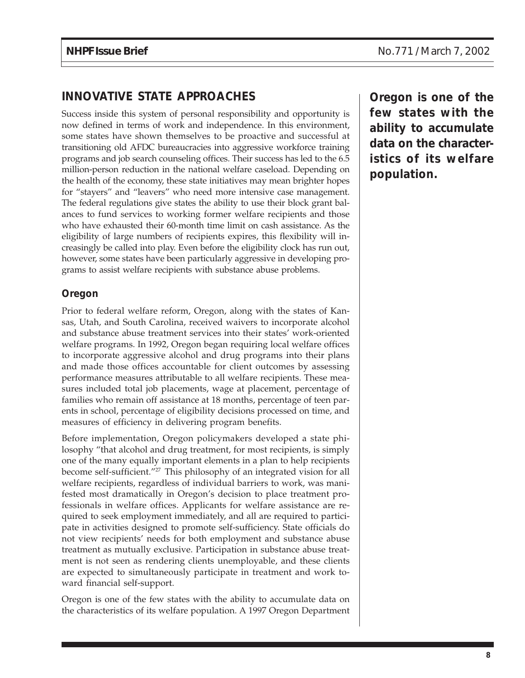### **INNOVATIVE STATE APPROACHES**

Success inside this system of personal responsibility and opportunity is now defined in terms of work and independence. In this environment, some states have shown themselves to be proactive and successful at transitioning old AFDC bureaucracies into aggressive workforce training programs and job search counseling offices. Their success has led to the 6.5 million-person reduction in the national welfare caseload. Depending on the health of the economy, these state initiatives may mean brighter hopes for "stayers" and "leavers" who need more intensive case management. The federal regulations give states the ability to use their block grant balances to fund services to working former welfare recipients and those who have exhausted their 60-month time limit on cash assistance. As the eligibility of large numbers of recipients expires, this flexibility will increasingly be called into play. Even before the eligibility clock has run out, however, some states have been particularly aggressive in developing programs to assist welfare recipients with substance abuse problems.

#### **Oregon**

Prior to federal welfare reform, Oregon, along with the states of Kansas, Utah, and South Carolina, received waivers to incorporate alcohol and substance abuse treatment services into their states' work-oriented welfare programs. In 1992, Oregon began requiring local welfare offices to incorporate aggressive alcohol and drug programs into their plans and made those offices accountable for client outcomes by assessing performance measures attributable to all welfare recipients. These measures included total job placements, wage at placement, percentage of families who remain off assistance at 18 months, percentage of teen parents in school, percentage of eligibility decisions processed on time, and measures of efficiency in delivering program benefits.

Before implementation, Oregon policymakers developed a state philosophy "that alcohol and drug treatment, for most recipients, is simply one of the many equally important elements in a plan to help recipients become self-sufficient."27 This philosophy of an integrated vision for all welfare recipients, regardless of individual barriers to work, was manifested most dramatically in Oregon's decision to place treatment professionals in welfare offices. Applicants for welfare assistance are required to seek employment immediately, and all are required to participate in activities designed to promote self-sufficiency. State officials do not view recipients' needs for both employment and substance abuse treatment as mutually exclusive. Participation in substance abuse treatment is not seen as rendering clients unemployable, and these clients are expected to simultaneously participate in treatment and work toward financial self-support.

Oregon is one of the few states with the ability to accumulate data on the characteristics of its welfare population. A 1997 Oregon Department

**Oregon is one of the few states with the ability to accumulate data on the characteristics of its welfare population.**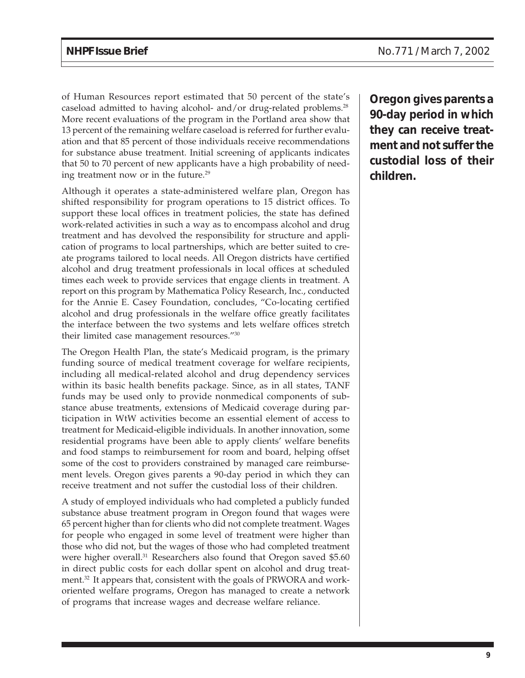of Human Resources report estimated that 50 percent of the state's caseload admitted to having alcohol- and/or drug-related problems.<sup>28</sup> More recent evaluations of the program in the Portland area show that 13 percent of the remaining welfare caseload is referred for further evaluation and that 85 percent of those individuals receive recommendations for substance abuse treatment. Initial screening of applicants indicates that 50 to 70 percent of new applicants have a high probability of needing treatment now or in the future.<sup>29</sup>

Although it operates a state-administered welfare plan, Oregon has shifted responsibility for program operations to 15 district offices. To support these local offices in treatment policies, the state has defined work-related activities in such a way as to encompass alcohol and drug treatment and has devolved the responsibility for structure and application of programs to local partnerships, which are better suited to create programs tailored to local needs. All Oregon districts have certified alcohol and drug treatment professionals in local offices at scheduled times each week to provide services that engage clients in treatment. A report on this program by Mathematica Policy Research, Inc., conducted for the Annie E. Casey Foundation, concludes, "Co-locating certified alcohol and drug professionals in the welfare office greatly facilitates the interface between the two systems and lets welfare offices stretch their limited case management resources."30

The Oregon Health Plan, the state's Medicaid program, is the primary funding source of medical treatment coverage for welfare recipients, including all medical-related alcohol and drug dependency services within its basic health benefits package. Since, as in all states, TANF funds may be used only to provide nonmedical components of substance abuse treatments, extensions of Medicaid coverage during participation in WtW activities become an essential element of access to treatment for Medicaid-eligible individuals. In another innovation, some residential programs have been able to apply clients' welfare benefits and food stamps to reimbursement for room and board, helping offset some of the cost to providers constrained by managed care reimbursement levels. Oregon gives parents a 90-day period in which they can receive treatment and not suffer the custodial loss of their children.

A study of employed individuals who had completed a publicly funded substance abuse treatment program in Oregon found that wages were 65 percent higher than for clients who did not complete treatment. Wages for people who engaged in some level of treatment were higher than those who did not, but the wages of those who had completed treatment were higher overall. $31$  Researchers also found that Oregon saved \$5.60 in direct public costs for each dollar spent on alcohol and drug treatment.<sup>32</sup> It appears that, consistent with the goals of PRWORA and workoriented welfare programs, Oregon has managed to create a network of programs that increase wages and decrease welfare reliance.

**Oregon gives parents a 90-day period in which they can receive treatment and not suffer the custodial loss of their children.**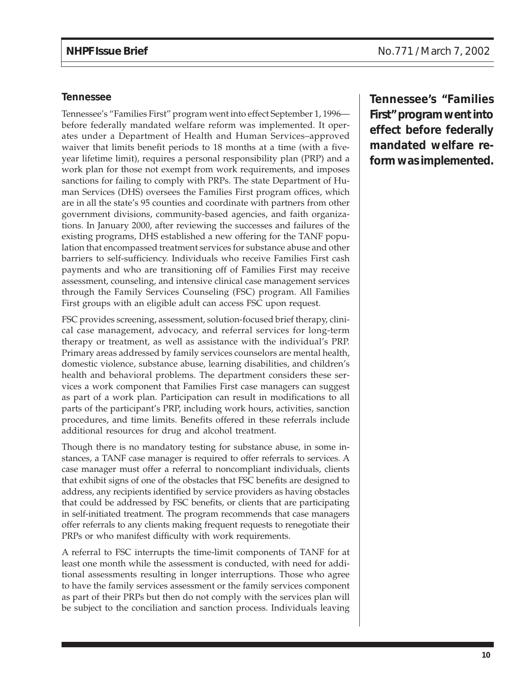#### **Tennessee**

Tennessee's "Families First" program went into effect September 1, 1996 before federally mandated welfare reform was implemented. It operates under a Department of Health and Human Services–approved waiver that limits benefit periods to 18 months at a time (with a fiveyear lifetime limit), requires a personal responsibility plan (PRP) and a work plan for those not exempt from work requirements, and imposes sanctions for failing to comply with PRPs. The state Department of Human Services (DHS) oversees the Families First program offices, which are in all the state's 95 counties and coordinate with partners from other government divisions, community-based agencies, and faith organizations. In January 2000, after reviewing the successes and failures of the existing programs, DHS established a new offering for the TANF population that encompassed treatment services for substance abuse and other barriers to self-sufficiency. Individuals who receive Families First cash payments and who are transitioning off of Families First may receive assessment, counseling, and intensive clinical case management services through the Family Services Counseling (FSC) program. All Families First groups with an eligible adult can access FSC upon request.

FSC provides screening, assessment, solution-focused brief therapy, clinical case management, advocacy, and referral services for long-term therapy or treatment, as well as assistance with the individual's PRP. Primary areas addressed by family services counselors are mental health, domestic violence, substance abuse, learning disabilities, and children's health and behavioral problems. The department considers these services a work component that Families First case managers can suggest as part of a work plan. Participation can result in modifications to all parts of the participant's PRP, including work hours, activities, sanction procedures, and time limits. Benefits offered in these referrals include additional resources for drug and alcohol treatment.

Though there is no mandatory testing for substance abuse, in some instances, a TANF case manager is required to offer referrals to services. A case manager must offer a referral to noncompliant individuals, clients that exhibit signs of one of the obstacles that FSC benefits are designed to address, any recipients identified by service providers as having obstacles that could be addressed by FSC benefits, or clients that are participating in self-initiated treatment. The program recommends that case managers offer referrals to any clients making frequent requests to renegotiate their PRPs or who manifest difficulty with work requirements.

A referral to FSC interrupts the time-limit components of TANF for at least one month while the assessment is conducted, with need for additional assessments resulting in longer interruptions. Those who agree to have the family services assessment or the family services component as part of their PRPs but then do not comply with the services plan will be subject to the conciliation and sanction process. Individuals leaving

**Tennessee's "Families First" program went into effect before federally mandated welfare reform was implemented.**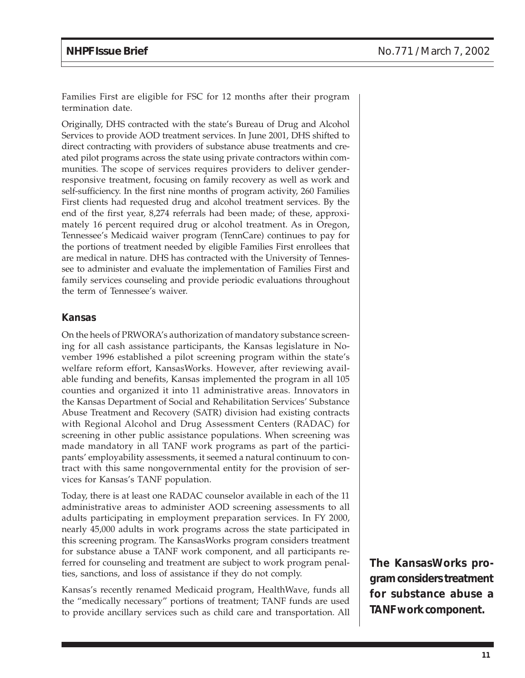Families First are eligible for FSC for 12 months after their program termination date.

Originally, DHS contracted with the state's Bureau of Drug and Alcohol Services to provide AOD treatment services. In June 2001, DHS shifted to direct contracting with providers of substance abuse treatments and created pilot programs across the state using private contractors within communities. The scope of services requires providers to deliver genderresponsive treatment, focusing on family recovery as well as work and self-sufficiency. In the first nine months of program activity, 260 Families First clients had requested drug and alcohol treatment services. By the end of the first year, 8,274 referrals had been made; of these, approximately 16 percent required drug or alcohol treatment. As in Oregon, Tennessee's Medicaid waiver program (TennCare) continues to pay for the portions of treatment needed by eligible Families First enrollees that are medical in nature. DHS has contracted with the University of Tennessee to administer and evaluate the implementation of Families First and family services counseling and provide periodic evaluations throughout the term of Tennessee's waiver.

#### **Kansas**

On the heels of PRWORA's authorization of mandatory substance screening for all cash assistance participants, the Kansas legislature in November 1996 established a pilot screening program within the state's welfare reform effort, KansasWorks. However, after reviewing available funding and benefits, Kansas implemented the program in all 105 counties and organized it into 11 administrative areas. Innovators in the Kansas Department of Social and Rehabilitation Services' Substance Abuse Treatment and Recovery (SATR) division had existing contracts with Regional Alcohol and Drug Assessment Centers (RADAC) for screening in other public assistance populations. When screening was made mandatory in all TANF work programs as part of the participants' employability assessments, it seemed a natural continuum to contract with this same nongovernmental entity for the provision of services for Kansas's TANF population.

Today, there is at least one RADAC counselor available in each of the 11 administrative areas to administer AOD screening assessments to all adults participating in employment preparation services. In FY 2000, nearly 45,000 adults in work programs across the state participated in this screening program. The KansasWorks program considers treatment for substance abuse a TANF work component, and all participants referred for counseling and treatment are subject to work program penalties, sanctions, and loss of assistance if they do not comply.

Kansas's recently renamed Medicaid program, HealthWave, funds all the "medically necessary" portions of treatment; TANF funds are used to provide ancillary services such as child care and transportation. All

**The KansasWorks program considers treatment for substance abuse a TANF work component.**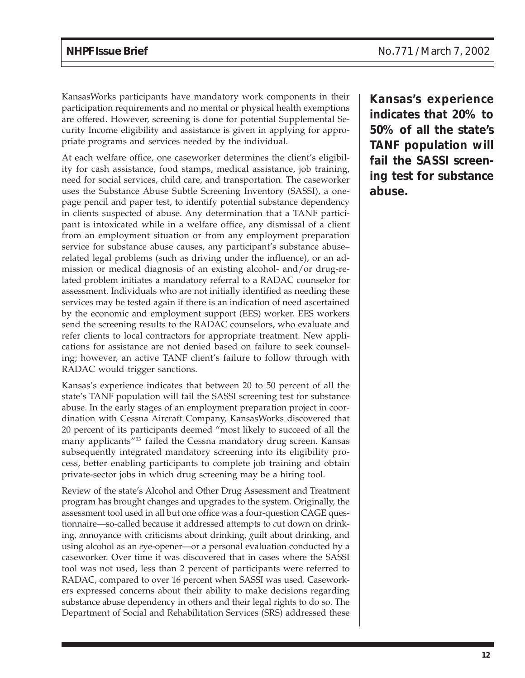KansasWorks participants have mandatory work components in their participation requirements and no mental or physical health exemptions are offered. However, screening is done for potential Supplemental Security Income eligibility and assistance is given in applying for appropriate programs and services needed by the individual.

At each welfare office, one caseworker determines the client's eligibility for cash assistance, food stamps, medical assistance, job training, need for social services, child care, and transportation. The caseworker uses the Substance Abuse Subtle Screening Inventory (SASSI), a onepage pencil and paper test, to identify potential substance dependency in clients suspected of abuse. Any determination that a TANF participant is intoxicated while in a welfare office, any dismissal of a client from an employment situation or from any employment preparation service for substance abuse causes, any participant's substance abuse– related legal problems (such as driving under the influence), or an admission or medical diagnosis of an existing alcohol- and/or drug-related problem initiates a mandatory referral to a RADAC counselor for assessment. Individuals who are not initially identified as needing these services may be tested again if there is an indication of need ascertained by the economic and employment support (EES) worker. EES workers send the screening results to the RADAC counselors, who evaluate and refer clients to local contractors for appropriate treatment. New applications for assistance are not denied based on failure to seek counseling; however, an active TANF client's failure to follow through with RADAC would trigger sanctions.

Kansas's experience indicates that between 20 to 50 percent of all the state's TANF population will fail the SASSI screening test for substance abuse. In the early stages of an employment preparation project in coordination with Cessna Aircraft Company, KansasWorks discovered that 20 percent of its participants deemed "most likely to succeed of all the many applicants"<sup>33</sup> failed the Cessna mandatory drug screen. Kansas subsequently integrated mandatory screening into its eligibility process, better enabling participants to complete job training and obtain private-sector jobs in which drug screening may be a hiring tool.

Review of the state's Alcohol and Other Drug Assessment and Treatment program has brought changes and upgrades to the system. Originally, the assessment tool used in all but one office was a four-question CAGE questionnaire—so-called because it addressed attempts to *c*ut down on drinking, *a*nnoyance with criticisms about drinking, *g*uilt about drinking, and using alcohol as an *e*ye-opener—or a personal evaluation conducted by a caseworker. Over time it was discovered that in cases where the SASSI tool was not used, less than 2 percent of participants were referred to RADAC, compared to over 16 percent when SASSI was used. Caseworkers expressed concerns about their ability to make decisions regarding substance abuse dependency in others and their legal rights to do so. The Department of Social and Rehabilitation Services (SRS) addressed these

**Kansas's experience indicates that 20% to 50% of all the state's TANF population will fail the SASSI screening test for substance abuse.**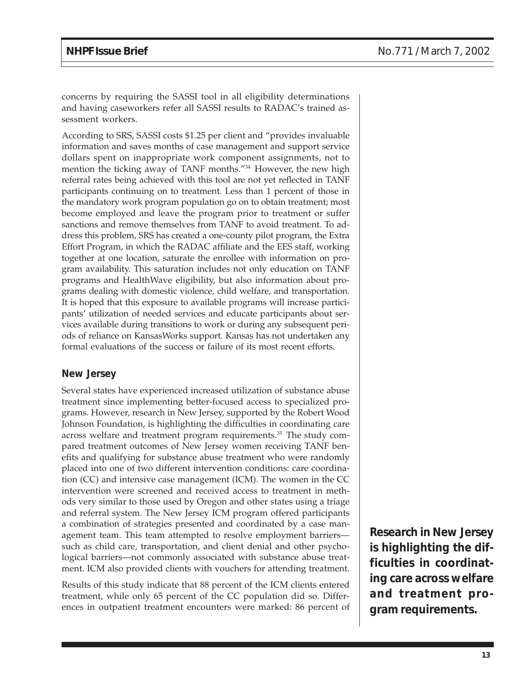concerns by requiring the SASSI tool in all eligibility determinations and having caseworkers refer all SASSI results to RADAC's trained assessment workers.

According to SRS, SASSI costs \$1.25 per client and "provides invaluable information and saves months of case management and support service dollars spent on inappropriate work component assignments, not to mention the ticking away of TANF months."34 However, the new high referral rates being achieved with this tool are not yet reflected in TANF participants continuing on to treatment. Less than 1 percent of those in the mandatory work program population go on to obtain treatment; most become employed and leave the program prior to treatment or suffer sanctions and remove themselves from TANF to avoid treatment. To address this problem, SRS has created a one-county pilot program, the Extra Effort Program, in which the RADAC affiliate and the EES staff, working together at one location, saturate the enrollee with information on program availability. This saturation includes not only education on TANF programs and HealthWave eligibility, but also information about programs dealing with domestic violence, child welfare, and transportation. It is hoped that this exposure to available programs will increase participants' utilization of needed services and educate participants about services available during transitions to work or during any subsequent periods of reliance on KansasWorks support. Kansas has not undertaken any formal evaluations of the success or failure of its most recent efforts.

#### **New Jersey**

Several states have experienced increased utilization of substance abuse treatment since implementing better-focused access to specialized programs. However, research in New Jersey, supported by the Robert Wood Johnson Foundation, is highlighting the difficulties in coordinating care across welfare and treatment program requirements.35 The study compared treatment outcomes of New Jersey women receiving TANF benefits and qualifying for substance abuse treatment who were randomly placed into one of two different intervention conditions: care coordination (CC) and intensive case management (ICM). The women in the CC intervention were screened and received access to treatment in methods very similar to those used by Oregon and other states using a triage and referral system. The New Jersey ICM program offered participants a combination of strategies presented and coordinated by a case management team. This team attempted to resolve employment barriers such as child care, transportation, and client denial and other psychological barriers—not commonly associated with substance abuse treatment. ICM also provided clients with vouchers for attending treatment.

Results of this study indicate that 88 percent of the ICM clients entered treatment, while only 65 percent of the CC population did so. Differences in outpatient treatment encounters were marked: 86 percent of **Research in New Jersey is highlighting the difficulties in coordinating care across welfare and treatment program requirements.**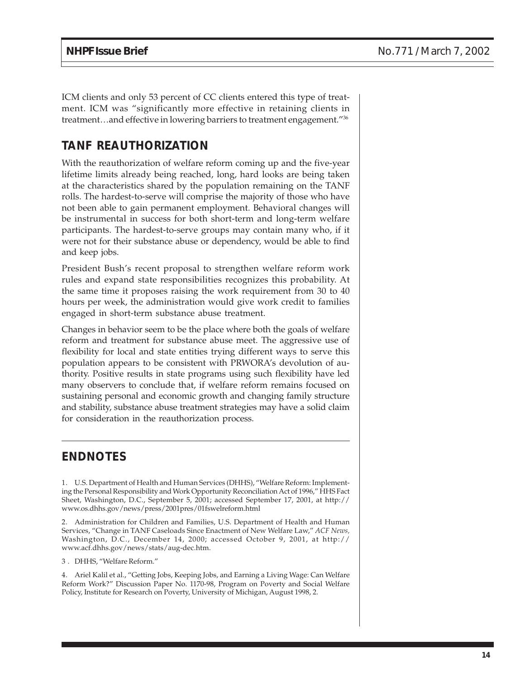ICM clients and only 53 percent of CC clients entered this type of treatment. ICM was "significantly more effective in retaining clients in treatment…and effective in lowering barriers to treatment engagement."36

## **TANF REAUTHORIZATION**

With the reauthorization of welfare reform coming up and the five-year lifetime limits already being reached, long, hard looks are being taken at the characteristics shared by the population remaining on the TANF rolls. The hardest-to-serve will comprise the majority of those who have not been able to gain permanent employment. Behavioral changes will be instrumental in success for both short-term and long-term welfare participants. The hardest-to-serve groups may contain many who, if it were not for their substance abuse or dependency, would be able to find and keep jobs.

President Bush's recent proposal to strengthen welfare reform work rules and expand state responsibilities recognizes this probability. At the same time it proposes raising the work requirement from 30 to 40 hours per week, the administration would give work credit to families engaged in short-term substance abuse treatment.

Changes in behavior seem to be the place where both the goals of welfare reform and treatment for substance abuse meet. The aggressive use of flexibility for local and state entities trying different ways to serve this population appears to be consistent with PRWORA's devolution of authority. Positive results in state programs using such flexibility have led many observers to conclude that, if welfare reform remains focused on sustaining personal and economic growth and changing family structure and stability, substance abuse treatment strategies may have a solid claim for consideration in the reauthorization process.

## **ENDNOTES**

1. U.S. Department of Health and Human Services (DHHS), "Welfare Reform: Implementing the Personal Responsibility and Work Opportunity Reconciliation Act of 1996," HHS Fact Sheet, Washington, D.C., September 5, 2001; accessed September 17, 2001, at http:// www.os.dhhs.gov/news/press/2001pres/01fswelreform.html

2. Administration for Children and Families, U.S. Department of Health and Human Services, "Change in TANF Caseloads Since Enactment of New Welfare Law," *ACF News,* Washington, D.C., December 14, 2000; accessed October 9, 2001, at http:// www.acf.dhhs.gov/news/stats/aug-dec.htm.

3 . DHHS, "Welfare Reform."

4. Ariel Kalil et al., "Getting Jobs, Keeping Jobs, and Earning a Living Wage: Can Welfare Reform Work?" Discussion Paper No. 1170-98, Program on Poverty and Social Welfare Policy, Institute for Research on Poverty, University of Michigan, August 1998, 2.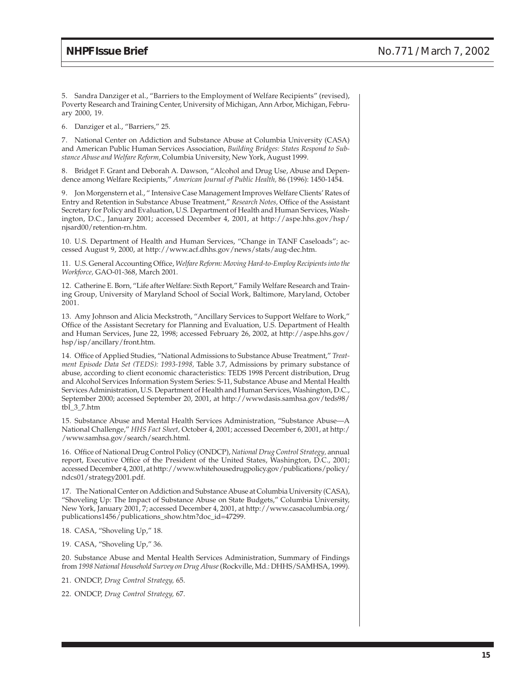5. Sandra Danziger et al., "Barriers to the Employment of Welfare Recipients" (revised), Poverty Research and Training Center, University of Michigan, Ann Arbor, Michigan, February 2000, 19.

6. Danziger et al., "Barriers," 25.

7. National Center on Addiction and Substance Abuse at Columbia University (CASA) and American Public Human Services Association, *Building Bridges: States Respond to Substance Abuse and Welfare Reform,* Columbia University, New York, August 1999.

8. Bridget F. Grant and Deborah A. Dawson, "Alcohol and Drug Use, Abuse and Dependence among Welfare Recipients," *American Journal of Public Health,* 86 (1996): 1450-1454.

9. Jon Morgenstern et al., " Intensive Case Management Improves Welfare Clients' Rates of Entry and Retention in Substance Abuse Treatment," *Research Notes,* Office of the Assistant Secretary for Policy and Evaluation, U.S. Department of Health and Human Services, Washington, D.C., January 2001; accessed December 4, 2001, at http://aspe.hhs.gov/hsp/ njsard00/retention-rn.htm.

10. U.S. Department of Health and Human Services, "Change in TANF Caseloads"; accessed August 9, 2000, at http://www.acf.dhhs.gov/news/stats/aug-dec.htm.

11. U.S. General Accounting Office, *Welfare Reform: Moving Hard-to-Employ Recipients into the Workforce,* GAO-01-368, March 2001.

12. Catherine E. Born, "Life after Welfare: Sixth Report," Family Welfare Research and Training Group, University of Maryland School of Social Work, Baltimore, Maryland, October 2001.

13. Amy Johnson and Alicia Meckstroth, "Ancillary Services to Support Welfare to Work," Office of the Assistant Secretary for Planning and Evaluation, U.S. Department of Health and Human Services, June 22, 1998; accessed February 26, 2002, at http://aspe.hhs.gov/ hsp/isp/ancillary/front.htm.

14. Office of Applied Studies, "National Admissions to Substance Abuse Treatment," *Treatment Episode Data Set (TEDS): 1993-1998,* Table 3.7, Admissions by primary substance of abuse, according to client economic characteristics: TEDS 1998 Percent distribution, Drug and Alcohol Services Information System Series: S-11, Substance Abuse and Mental Health Services Administration, U.S. Department of Health and Human Services, Washington, D.C., September 2000; accessed September 20, 2001, at http://wwwdasis.samhsa.gov/teds98/ tbl\_3\_7.htm

15. Substance Abuse and Mental Health Services Administration, "Substance Abuse—A National Challenge," *HHS Fact Sheet,* October 4, 2001; accessed December 6, 2001, at http:/ /www.samhsa.gov/search/search.html.

16. Office of National Drug Control Policy (ONDCP), *National Drug Control Strategy,* annual report, Executive Office of the President of the United States, Washington, D.C., 2001; accessed December 4, 2001, at http://www.whitehousedrugpolicy.gov/publications/policy/ ndcs01/strategy2001.pdf.

17. The National Center on Addiction and Substance Abuse at Columbia University (CASA), "Shoveling Up: The Impact of Substance Abuse on State Budgets," Columbia University, New York, January 2001, 7; accessed December 4, 2001, at http://www.casacolumbia.org/ publications1456/publications\_show.htm?doc\_id=47299.

18. CASA, "Shoveling Up," 18.

19. CASA, "Shoveling Up," 36.

20. Substance Abuse and Mental Health Services Administration, Summary of Findings from *1998 National Household Survey on Drug Abuse* (Rockville, Md.: DHHS/SAMHSA, 1999).

21. ONDCP, *Drug Control Strategy,* 65.

22. ONDCP, *Drug Control Strategy,* 67.